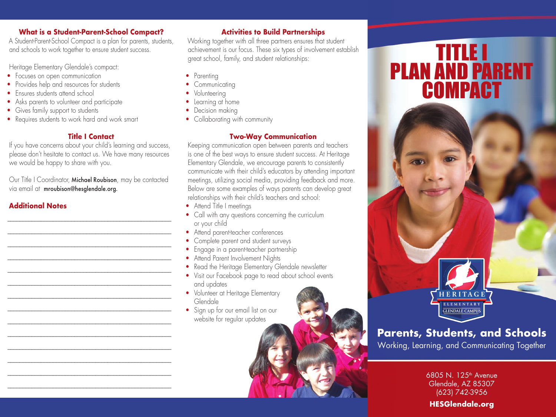### **What is a Student-Parent-School Compact?**

A Student-Parent-School Compact is a plan for parents, students, and schools to work together to ensure student success.

Heritage Elementary Glendale's compact:

- Focuses on open communication
- Provides help and resources for students
- Fnsures students attend school
- Asks parents to volunteer and participate
- Gives family support to students
- Requires students to work hard and work smart

# **Title I Contact**

If you have concerns about your child's learning and success, please don't hesitate to contact us. We have many resources we would be happy to share with you.

Our Title I Coordinator, Michael Roubison, may be contacted via email at mroubison@hesglendale.org.

\_\_\_\_\_\_\_\_\_\_\_\_\_\_\_\_\_\_\_\_\_\_\_\_\_\_\_\_\_\_\_\_\_\_\_\_\_\_\_\_\_\_\_\_\_\_\_\_\_\_\_\_\_\_ \_\_\_\_\_\_\_\_\_\_\_\_\_\_\_\_\_\_\_\_\_\_\_\_\_\_\_\_\_\_\_\_\_\_\_\_\_\_\_\_\_\_\_\_\_\_\_\_\_\_\_\_\_\_ \_\_\_\_\_\_\_\_\_\_\_\_\_\_\_\_\_\_\_\_\_\_\_\_\_\_\_\_\_\_\_\_\_\_\_\_\_\_\_\_\_\_\_\_\_\_\_\_\_\_\_\_\_\_

\_\_\_\_\_\_\_\_\_\_\_\_\_\_\_\_\_\_\_\_\_\_\_\_\_\_\_\_\_\_\_\_\_\_\_\_\_\_\_\_\_\_\_\_\_\_\_\_\_\_\_\_\_\_ \_\_\_\_\_\_\_\_\_\_\_\_\_\_\_\_\_\_\_\_\_\_\_\_\_\_\_\_\_\_\_\_\_\_\_\_\_\_\_\_\_\_\_\_\_\_\_\_\_\_\_\_\_\_ \_\_\_\_\_\_\_\_\_\_\_\_\_\_\_\_\_\_\_\_\_\_\_\_\_\_\_\_\_\_\_\_\_\_\_\_\_\_\_\_\_\_\_\_\_\_\_\_\_\_\_\_\_\_ \_\_\_\_\_\_\_\_\_\_\_\_\_\_\_\_\_\_\_\_\_\_\_\_\_\_\_\_\_\_\_\_\_\_\_\_\_\_\_\_\_\_\_\_\_\_\_\_\_\_\_\_\_\_ \_\_\_\_\_\_\_\_\_\_\_\_\_\_\_\_\_\_\_\_\_\_\_\_\_\_\_\_\_\_\_\_\_\_\_\_\_\_\_\_\_\_\_\_\_\_\_\_\_\_\_\_\_\_ \_\_\_\_\_\_\_\_\_\_\_\_\_\_\_\_\_\_\_\_\_\_\_\_\_\_\_\_\_\_\_\_\_\_\_\_\_\_\_\_\_\_\_\_\_\_\_\_\_\_\_\_\_\_ \_\_\_\_\_\_\_\_\_\_\_\_\_\_\_\_\_\_\_\_\_\_\_\_\_\_\_\_\_\_\_\_\_\_\_\_\_\_\_\_\_\_\_\_\_\_\_\_\_\_\_\_\_\_ \_\_\_\_\_\_\_\_\_\_\_\_\_\_\_\_\_\_\_\_\_\_\_\_\_\_\_\_\_\_\_\_\_\_\_\_\_\_\_\_\_\_\_\_\_\_\_\_\_\_\_\_\_\_ \_\_\_\_\_\_\_\_\_\_\_\_\_\_\_\_\_\_\_\_\_\_\_\_\_\_\_\_\_\_\_\_\_\_\_\_\_\_\_\_\_\_\_\_\_\_\_\_\_\_\_\_\_\_ \_\_\_\_\_\_\_\_\_\_\_\_\_\_\_\_\_\_\_\_\_\_\_\_\_\_\_\_\_\_\_\_\_\_\_\_\_\_\_\_\_\_\_\_\_\_\_\_\_\_\_\_\_\_

\_\_\_\_\_\_\_\_\_\_\_\_\_\_\_\_\_\_\_\_\_\_\_\_\_\_\_\_\_\_\_\_\_\_\_\_\_\_\_\_\_\_\_\_\_\_\_\_\_\_\_\_\_\_

# **Additional Notes**

# **Activities to Build Partnerships**

Working together with all three partners ensures that student achievement is our focus. These six types of involvement establish great school, family, and student relationships:

- Parenting
- Communicating
- Volunteering
- Learning at home
- Decision making
- Collaborating with community

# **Two-Way Communication**

Keeping communication open between parents and teachers is one of the best ways to ensure student success. At Heritage Elementary Glendale, we encourage parents to consistently communicate with their child's educators by attending important meetings, utilizing social media, providing feedback and more. Below are some examples of ways parents can develop great relationships with their child's teachers and school:

- Attend Title I meetings
- Call with any questions concerning the curriculum or your child
- Attend parent-teacher conferences
- Complete parent and student surveys
- Engage in a parent-teacher partnership
- Attend Parent Involvement Nights
- Read the Heritage Elementary Glendale newsletter
- Visit our Facebook page to read about school events
- and updates • Volunteer at Heritage Elementary
- Glendale • Sign up for our email list on our

website for regular updates

TITLE I PLAN AND PARENT **COMPACT** 



# **Parents, Students, and Schools**

Working, Learning, and Communicating Together

6805 N. 125<sup>th</sup> Avenue Glendale, AZ 85307 (623) 742-3956

# **HESGlendale.org**